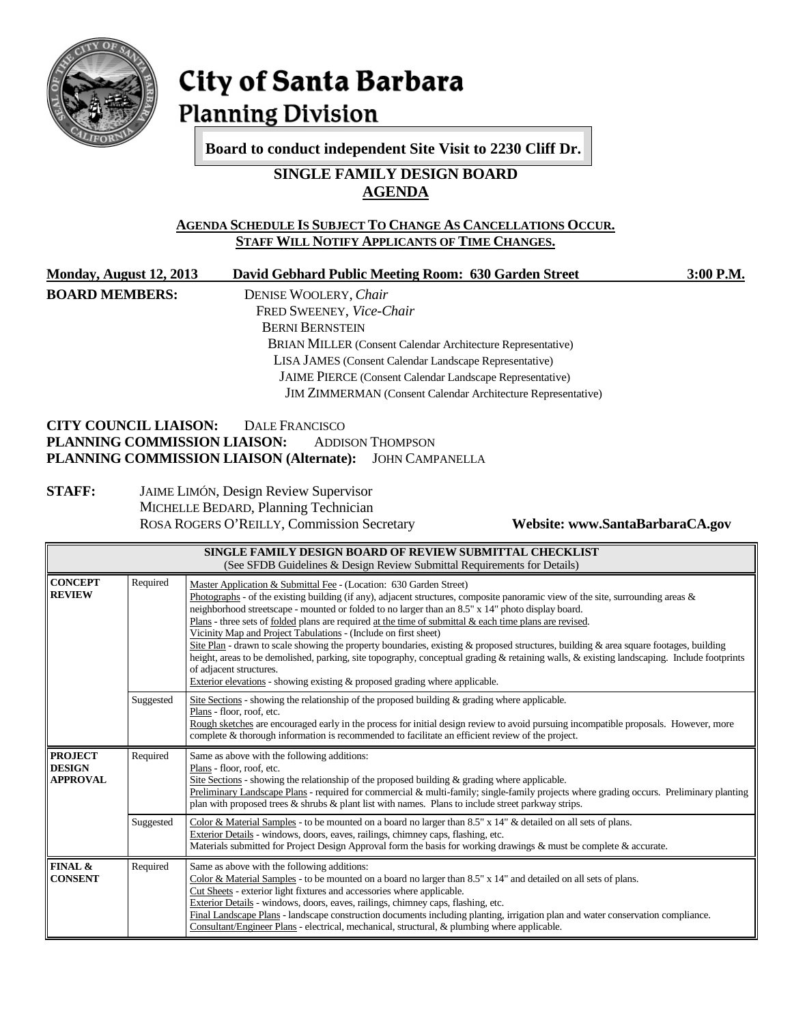

# City of Santa Barbara **Planning Division**

**Board to conduct independent Site Visit to 2230 Cliff Dr.**

# **SINGLE FAMILY DESIGN BOARD AGENDA**

### **AGENDA SCHEDULE IS SUBJECT TO CHANGE AS CANCELLATIONS OCCUR. STAFF WILL NOTIFY APPLICANTS OF TIME CHANGES.**

| <b>Monday, August 12, 2013</b> | David Gebhard Public Meeting Room: 630 Garden Street | $3:00$ P.M. |
|--------------------------------|------------------------------------------------------|-------------|
| <b>BOARD MEMBERS:</b>          | DENISE WOOLERY, Chair                                |             |

FRED SWEENEY, *Vice-Chair* BERNI BERNSTEIN BRIAN MILLER (Consent Calendar Architecture Representative) LISA JAMES (Consent Calendar Landscape Representative) JAIME PIERCE (Consent Calendar Landscape Representative) JIM ZIMMERMAN (Consent Calendar Architecture Representative)

#### **CITY COUNCIL LIAISON:** DALE FRANCISCO<br>**PLANNING COMMISSION LIAISON:** ADDISON THOMPSON **PLANNING COMMISSION LIAISON: PLANNING COMMISSION LIAISON (Alternate):** JOHN CAMPANELLA

#### **STAFF:** JAIME LIMÓN, Design Review Supervisor MICHELLE BEDARD, Planning Technician ROSA ROGERS O'REILLY, Commission Secretary **Website: www.SantaBarbaraCA.gov**

| SINGLE FAMILY DESIGN BOARD OF REVIEW SUBMITTAL CHECKLIST<br>(See SFDB Guidelines & Design Review Submittal Requirements for Details) |           |                                                                                                                                                                                                                                                                                                                                                                                                                                                                                                                                                                                                                                                                                                                                                                                                                                                                                              |  |  |
|--------------------------------------------------------------------------------------------------------------------------------------|-----------|----------------------------------------------------------------------------------------------------------------------------------------------------------------------------------------------------------------------------------------------------------------------------------------------------------------------------------------------------------------------------------------------------------------------------------------------------------------------------------------------------------------------------------------------------------------------------------------------------------------------------------------------------------------------------------------------------------------------------------------------------------------------------------------------------------------------------------------------------------------------------------------------|--|--|
| <b>CONCEPT</b><br><b>REVIEW</b>                                                                                                      | Required  | Master Application & Submittal Fee - (Location: 630 Garden Street)<br>Photographs - of the existing building (if any), adjacent structures, composite panoramic view of the site, surrounding areas $\&$<br>neighborhood streetscape - mounted or folded to no larger than an 8.5" x 14" photo display board.<br>Plans - three sets of folded plans are required at the time of submittal & each time plans are revised.<br>Vicinity Map and Project Tabulations - (Include on first sheet)<br>Site Plan - drawn to scale showing the property boundaries, existing & proposed structures, building & area square footages, building<br>height, areas to be demolished, parking, site topography, conceptual grading & retaining walls, & existing landscaping. Include footprints<br>of adjacent structures.<br>Exterior elevations - showing existing & proposed grading where applicable. |  |  |
|                                                                                                                                      | Suggested | Site Sections - showing the relationship of the proposed building $\&$ grading where applicable.<br>Plans - floor, roof, etc.<br>Rough sketches are encouraged early in the process for initial design review to avoid pursuing incompatible proposals. However, more<br>complete & thorough information is recommended to facilitate an efficient review of the project.                                                                                                                                                                                                                                                                                                                                                                                                                                                                                                                    |  |  |
| <b>PROJECT</b><br><b>DESIGN</b><br><b>APPROVAL</b>                                                                                   | Required  | Same as above with the following additions:<br>Plans - floor, roof, etc.<br>Site Sections - showing the relationship of the proposed building $\&$ grading where applicable.<br>Preliminary Landscape Plans - required for commercial & multi-family; single-family projects where grading occurs. Preliminary planting<br>plan with proposed trees $\&$ shrubs $\&$ plant list with names. Plans to include street parkway strips.                                                                                                                                                                                                                                                                                                                                                                                                                                                          |  |  |
|                                                                                                                                      | Suggested | Color & Material Samples - to be mounted on a board no larger than 8.5" x 14" & detailed on all sets of plans.<br>Exterior Details - windows, doors, eaves, railings, chimney caps, flashing, etc.<br>Materials submitted for Project Design Approval form the basis for working drawings & must be complete & accurate.                                                                                                                                                                                                                                                                                                                                                                                                                                                                                                                                                                     |  |  |
| FINAL &<br><b>CONSENT</b>                                                                                                            | Required  | Same as above with the following additions:<br>Color & Material Samples - to be mounted on a board no larger than $8.5"$ x $14"$ and detailed on all sets of plans.<br>Cut Sheets - exterior light fixtures and accessories where applicable.<br>Exterior Details - windows, doors, eaves, railings, chimney caps, flashing, etc.<br>Final Landscape Plans - landscape construction documents including planting, irrigation plan and water conservation compliance.<br>Consultant/Engineer Plans - electrical, mechanical, structural, & plumbing where applicable.                                                                                                                                                                                                                                                                                                                         |  |  |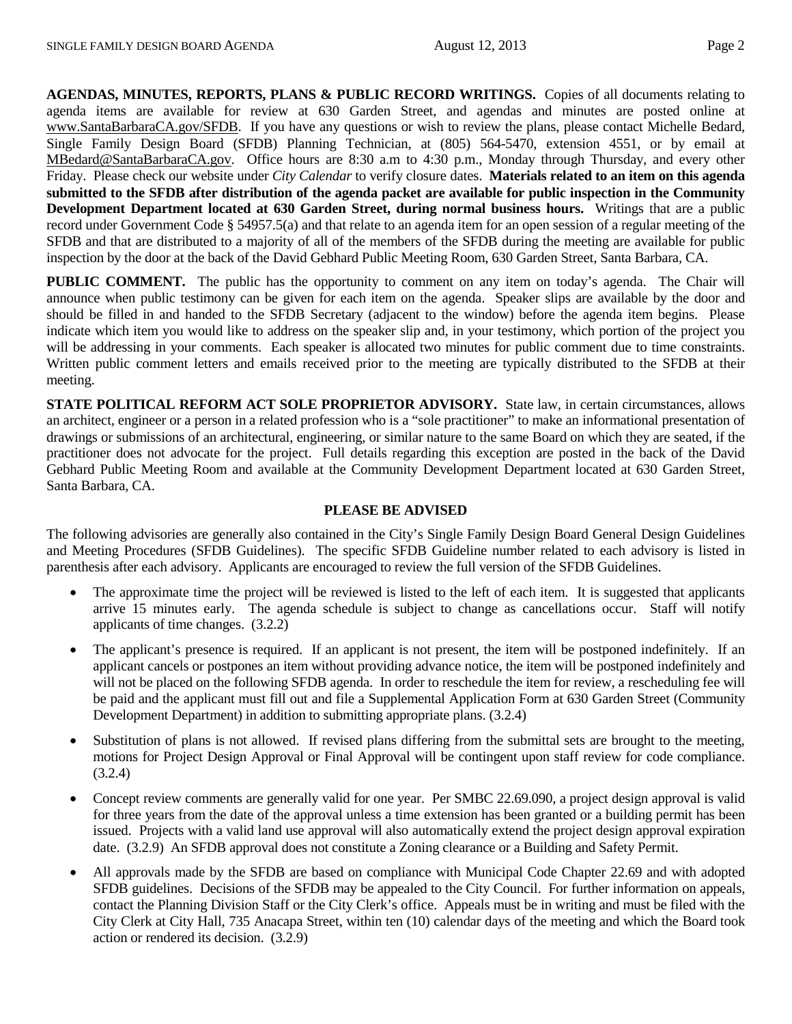**AGENDAS, MINUTES, REPORTS, PLANS & PUBLIC RECORD WRITINGS.** Copies of all documents relating to agenda items are available for review at 630 Garden Street, and agendas and minutes are posted online at [www.SantaBarbaraCA.gov/SFDB.](http://www.santabarbaraca.gov/ABR) If you have any questions or wish to review the plans, please contact Michelle Bedard, Single Family Design Board (SFDB) Planning Technician, at (805) 564-5470, extension 4551, or by email at [MBedard@SantaBarbaraCA.gov.](mailto:MBedard@SantaBarbaraCA.gov) Office hours are 8:30 a.m to 4:30 p.m., Monday through Thursday, and every other Friday. Please check our website under *City Calendar* to verify closure dates. **Materials related to an item on this agenda submitted to the SFDB after distribution of the agenda packet are available for public inspection in the Community Development Department located at 630 Garden Street, during normal business hours.** Writings that are a public record under Government Code § 54957.5(a) and that relate to an agenda item for an open session of a regular meeting of the SFDB and that are distributed to a majority of all of the members of the SFDB during the meeting are available for public inspection by the door at the back of the David Gebhard Public Meeting Room, 630 Garden Street, Santa Barbara, CA.

**PUBLIC COMMENT.** The public has the opportunity to comment on any item on today's agenda. The Chair will announce when public testimony can be given for each item on the agenda. Speaker slips are available by the door and should be filled in and handed to the SFDB Secretary (adjacent to the window) before the agenda item begins. Please indicate which item you would like to address on the speaker slip and, in your testimony, which portion of the project you will be addressing in your comments. Each speaker is allocated two minutes for public comment due to time constraints. Written public comment letters and emails received prior to the meeting are typically distributed to the SFDB at their meeting.

**STATE POLITICAL REFORM ACT SOLE PROPRIETOR ADVISORY.** State law, in certain circumstances, allows an architect, engineer or a person in a related profession who is a "sole practitioner" to make an informational presentation of drawings or submissions of an architectural, engineering, or similar nature to the same Board on which they are seated, if the practitioner does not advocate for the project. Full details regarding this exception are posted in the back of the David Gebhard Public Meeting Room and available at the Community Development Department located at 630 Garden Street, Santa Barbara, CA.

#### **PLEASE BE ADVISED**

The following advisories are generally also contained in the City's Single Family Design Board General Design Guidelines and Meeting Procedures (SFDB Guidelines). The specific SFDB Guideline number related to each advisory is listed in parenthesis after each advisory. Applicants are encouraged to review the full version of the SFDB Guidelines.

- The approximate time the project will be reviewed is listed to the left of each item. It is suggested that applicants arrive 15 minutes early. The agenda schedule is subject to change as cancellations occur. Staff will notify applicants of time changes. (3.2.2)
- The applicant's presence is required. If an applicant is not present, the item will be postponed indefinitely. If an applicant cancels or postpones an item without providing advance notice, the item will be postponed indefinitely and will not be placed on the following SFDB agenda. In order to reschedule the item for review, a rescheduling fee will be paid and the applicant must fill out and file a Supplemental Application Form at 630 Garden Street (Community Development Department) in addition to submitting appropriate plans. (3.2.4)
- Substitution of plans is not allowed. If revised plans differing from the submittal sets are brought to the meeting, motions for Project Design Approval or Final Approval will be contingent upon staff review for code compliance. (3.2.4)
- Concept review comments are generally valid for one year. Per SMBC 22.69.090, a project design approval is valid for three years from the date of the approval unless a time extension has been granted or a building permit has been issued. Projects with a valid land use approval will also automatically extend the project design approval expiration date. (3.2.9) An SFDB approval does not constitute a Zoning clearance or a Building and Safety Permit.
- All approvals made by the SFDB are based on compliance with Municipal Code Chapter 22.69 and with adopted SFDB guidelines. Decisions of the SFDB may be appealed to the City Council. For further information on appeals, contact the Planning Division Staff or the City Clerk's office. Appeals must be in writing and must be filed with the City Clerk at City Hall, 735 Anacapa Street, within ten (10) calendar days of the meeting and which the Board took action or rendered its decision. (3.2.9)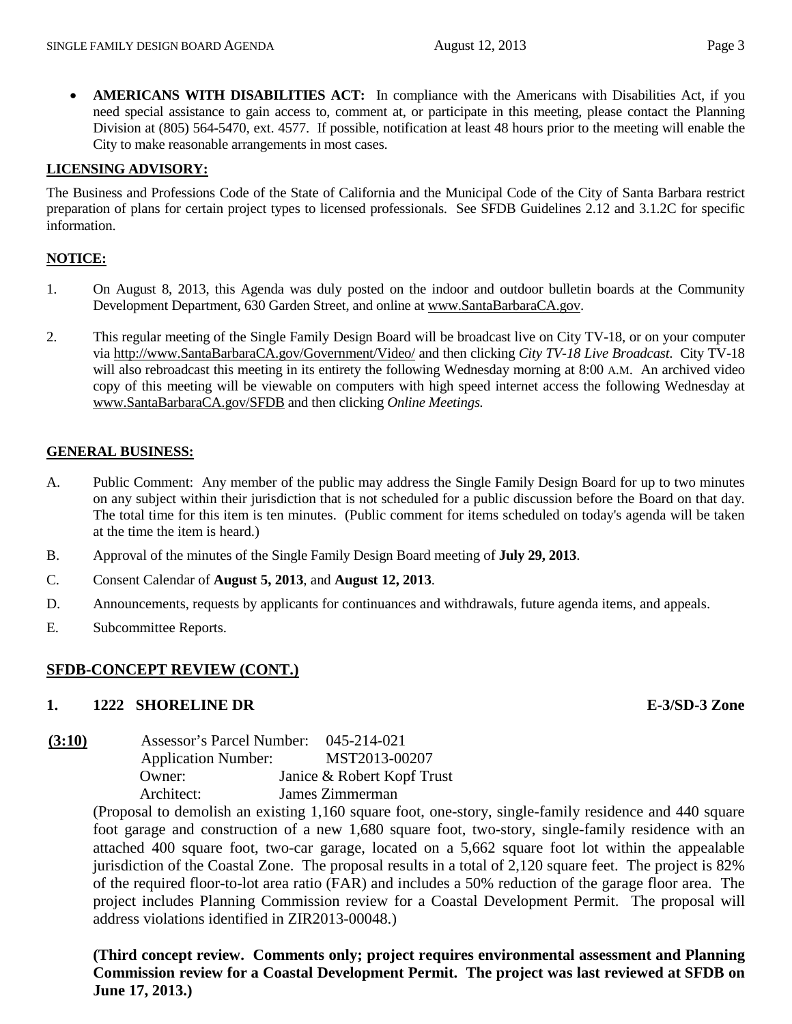• **AMERICANS WITH DISABILITIES ACT:** In compliance with the Americans with Disabilities Act, if you need special assistance to gain access to, comment at, or participate in this meeting, please contact the Planning Division at (805) 564-5470, ext. 4577. If possible, notification at least 48 hours prior to the meeting will enable the City to make reasonable arrangements in most cases.

#### **LICENSING ADVISORY:**

The Business and Professions Code of the State of California and the Municipal Code of the City of Santa Barbara restrict preparation of plans for certain project types to licensed professionals. See SFDB Guidelines 2.12 and 3.1.2C for specific information.

#### **NOTICE:**

- 1. On August 8, 2013, this Agenda was duly posted on the indoor and outdoor bulletin boards at the Community Development Department, 630 Garden Street, and online at [www.SantaBarbaraCA.gov.](http://www.santabarbaraca.gov/)
- 2. This regular meeting of the Single Family Design Board will be broadcast live on City TV-18, or on your computer via [http://www.SantaBarbaraCA.gov/Government/Video/](http://www.santabarbaraca.gov/Government/Video/) and then clicking *City TV-18 Live Broadcast*. City TV-18 will also rebroadcast this meeting in its entirety the following Wednesday morning at 8:00 A.M. An archived video copy of this meeting will be viewable on computers with high speed internet access the following Wednesday at [www.SantaBarbaraCA.gov/SFDB](http://www.santabarbaraca.gov/SFDB) and then clicking *Online Meetings.*

#### **GENERAL BUSINESS:**

- A. Public Comment: Any member of the public may address the Single Family Design Board for up to two minutes on any subject within their jurisdiction that is not scheduled for a public discussion before the Board on that day. The total time for this item is ten minutes. (Public comment for items scheduled on today's agenda will be taken at the time the item is heard.)
- B. Approval of the minutes of the Single Family Design Board meeting of **July 29, 2013**.
- C. Consent Calendar of **August 5, 2013**, and **August 12, 2013**.
- D. Announcements, requests by applicants for continuances and withdrawals, future agenda items, and appeals.
- E. Subcommittee Reports.

#### **SFDB-CONCEPT REVIEW (CONT.)**

#### **1. 1222 SHORELINE DR E-3/SD-3 Zone**

| (3:10) | Assessor's Parcel Number:  |  | 045-214-021                |
|--------|----------------------------|--|----------------------------|
|        | <b>Application Number:</b> |  | MST2013-00207              |
|        | Owner:                     |  | Janice & Robert Kopf Trust |
|        | Architect:                 |  | James Zimmerman            |

(Proposal to demolish an existing 1,160 square foot, one-story, single-family residence and 440 square foot garage and construction of a new 1,680 square foot, two-story, single-family residence with an attached 400 square foot, two-car garage, located on a 5,662 square foot lot within the appealable jurisdiction of the Coastal Zone. The proposal results in a total of 2,120 square feet. The project is 82% of the required floor-to-lot area ratio (FAR) and includes a 50% reduction of the garage floor area. The project includes Planning Commission review for a Coastal Development Permit. The proposal will address violations identified in ZIR2013-00048.)

**(Third concept review. Comments only; project requires environmental assessment and Planning Commission review for a Coastal Development Permit. The project was last reviewed at SFDB on June 17, 2013.)**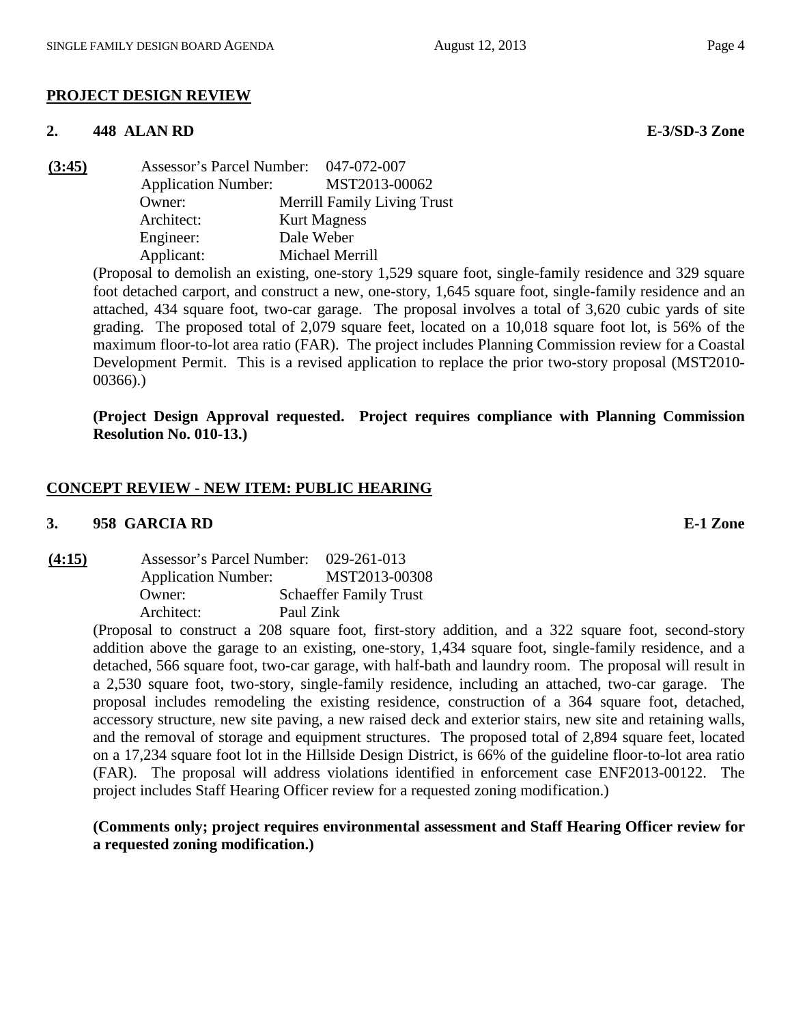### **PROJECT DESIGN REVIEW**

#### **2. 448 ALAN RD E-3/SD-3 Zone**

 $(3:45)$ 

| <b>Assessor's Parcel Number:</b> | 047-072-007                        |
|----------------------------------|------------------------------------|
| <b>Application Number:</b>       | MST2013-00062                      |
| Owner:                           | <b>Merrill Family Living Trust</b> |
| Architect:                       | <b>Kurt Magness</b>                |
| Engineer:                        | Dale Weber                         |
| Applicant:                       | Michael Merrill                    |

(Proposal to demolish an existing, one-story 1,529 square foot, single-family residence and 329 square foot detached carport, and construct a new, one-story, 1,645 square foot, single-family residence and an attached, 434 square foot, two-car garage. The proposal involves a total of 3,620 cubic yards of site grading. The proposed total of 2,079 square feet, located on a 10,018 square foot lot, is 56% of the maximum floor-to-lot area ratio (FAR). The project includes Planning Commission review for a Coastal Development Permit. This is a revised application to replace the prior two-story proposal (MST2010- 00366).)

**(Project Design Approval requested. Project requires compliance with Planning Commission Resolution No. 010-13.)**

### **CONCEPT REVIEW - NEW ITEM: PUBLIC HEARING**

#### **3. 958 GARCIA RD E-1 Zone**

**(4:15)** Assessor's Parcel Number: 029-261-013 Application Number: MST2013-00308 Owner: Schaeffer Family Trust Architect: Paul Zink

> (Proposal to construct a 208 square foot, first-story addition, and a 322 square foot, second-story addition above the garage to an existing, one-story, 1,434 square foot, single-family residence, and a detached, 566 square foot, two-car garage, with half-bath and laundry room. The proposal will result in a 2,530 square foot, two-story, single-family residence, including an attached, two-car garage. The proposal includes remodeling the existing residence, construction of a 364 square foot, detached, accessory structure, new site paving, a new raised deck and exterior stairs, new site and retaining walls, and the removal of storage and equipment structures. The proposed total of 2,894 square feet, located on a 17,234 square foot lot in the Hillside Design District, is 66% of the guideline floor-to-lot area ratio (FAR). The proposal will address violations identified in enforcement case ENF2013-00122. The project includes Staff Hearing Officer review for a requested zoning modification.)

### **(Comments only; project requires environmental assessment and Staff Hearing Officer review for a requested zoning modification.)**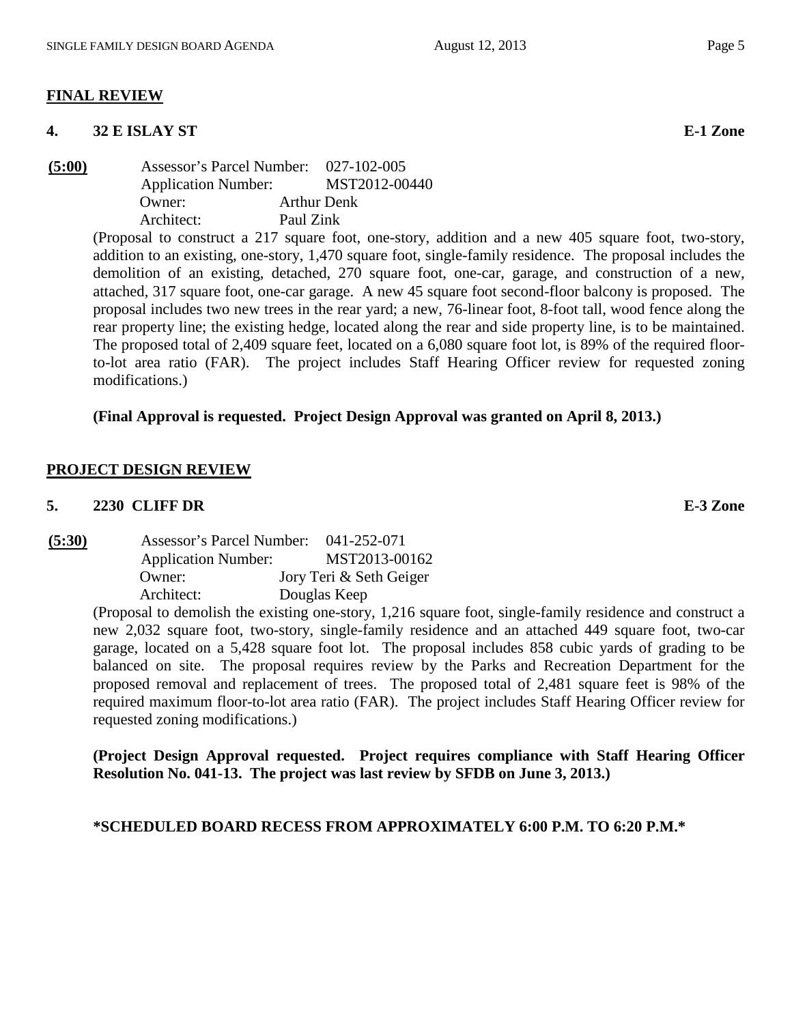#### **FINAL REVIEW**

#### **4. 32 E ISLAY ST E-1 Zone**

**(5:00)** Assessor's Parcel Number: 027-102-005 Application Number: MST2012-00440 Owner: Arthur Denk Architect: Paul Zink

(Proposal to construct a 217 square foot, one-story, addition and a new 405 square foot, two-story, addition to an existing, one-story, 1,470 square foot, single-family residence. The proposal includes the demolition of an existing, detached, 270 square foot, one-car, garage, and construction of a new, attached, 317 square foot, one-car garage. A new 45 square foot second-floor balcony is proposed. The proposal includes two new trees in the rear yard; a new, 76-linear foot, 8-foot tall, wood fence along the rear property line; the existing hedge, located along the rear and side property line, is to be maintained. The proposed total of 2,409 square feet, located on a 6,080 square foot lot, is 89% of the required floorto-lot area ratio (FAR). The project includes Staff Hearing Officer review for requested zoning modifications.)

#### **(Final Approval is requested. Project Design Approval was granted on April 8, 2013.)**

#### **PROJECT DESIGN REVIEW**

#### **5. 2230 CLIFF DR E-3 Zone**

**(5:30)** Assessor's Parcel Number: 041-252-071 Application Number: MST2013-00162 Owner: Jory Teri & Seth Geiger Architect: Douglas Keep

> (Proposal to demolish the existing one-story, 1,216 square foot, single-family residence and construct a new 2,032 square foot, two-story, single-family residence and an attached 449 square foot, two-car garage, located on a 5,428 square foot lot. The proposal includes 858 cubic yards of grading to be balanced on site. The proposal requires review by the Parks and Recreation Department for the proposed removal and replacement of trees. The proposed total of 2,481 square feet is 98% of the required maximum floor-to-lot area ratio (FAR). The project includes Staff Hearing Officer review for requested zoning modifications.)

> **(Project Design Approval requested. Project requires compliance with Staff Hearing Officer Resolution No. 041-13. The project was last review by SFDB on June 3, 2013.)**

#### **\*SCHEDULED BOARD RECESS FROM APPROXIMATELY 6:00 P.M. TO 6:20 P.M.\***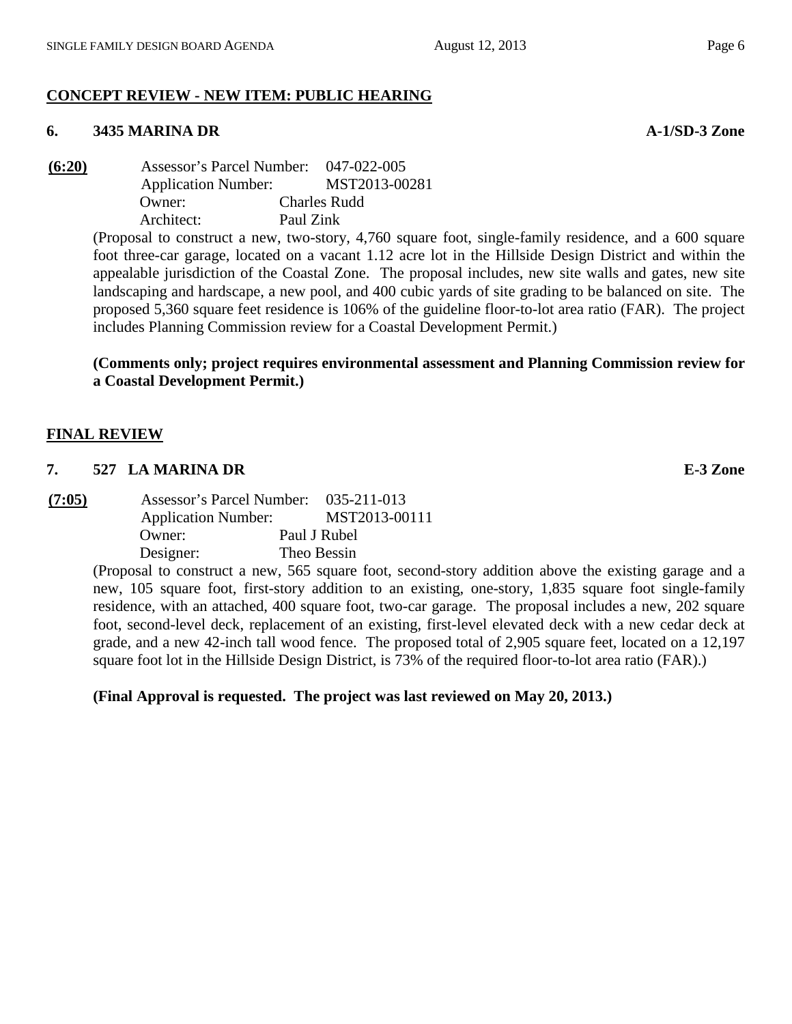# **CONCEPT REVIEW - NEW ITEM: PUBLIC HEARING**

## **6. 3435 MARINA DR A-1/SD-3 Zone**

**(6:20)** Assessor's Parcel Number: 047-022-005 Application Number: MST2013-00281 Owner: Charles Rudd Architect: Paul Zink

(Proposal to construct a new, two-story, 4,760 square foot, single-family residence, and a 600 square foot three-car garage, located on a vacant 1.12 acre lot in the Hillside Design District and within the appealable jurisdiction of the Coastal Zone. The proposal includes, new site walls and gates, new site landscaping and hardscape, a new pool, and 400 cubic yards of site grading to be balanced on site. The proposed 5,360 square feet residence is 106% of the guideline floor-to-lot area ratio (FAR). The project includes Planning Commission review for a Coastal Development Permit.)

# **(Comments only; project requires environmental assessment and Planning Commission review for a Coastal Development Permit.)**

# **FINAL REVIEW**

# **7. 527 LA MARINA DR E-3 Zone**

**(7:05)** Assessor's Parcel Number: 035-211-013 Application Number: MST2013-00111 Owner: Paul J Rubel Designer: Theo Bessin

(Proposal to construct a new, 565 square foot, second-story addition above the existing garage and a new, 105 square foot, first-story addition to an existing, one-story, 1,835 square foot single-family residence, with an attached, 400 square foot, two-car garage. The proposal includes a new, 202 square foot, second-level deck, replacement of an existing, first-level elevated deck with a new cedar deck at grade, and a new 42-inch tall wood fence. The proposed total of 2,905 square feet, located on a 12,197 square foot lot in the Hillside Design District, is 73% of the required floor-to-lot area ratio (FAR).)

# **(Final Approval is requested. The project was last reviewed on May 20, 2013.)**